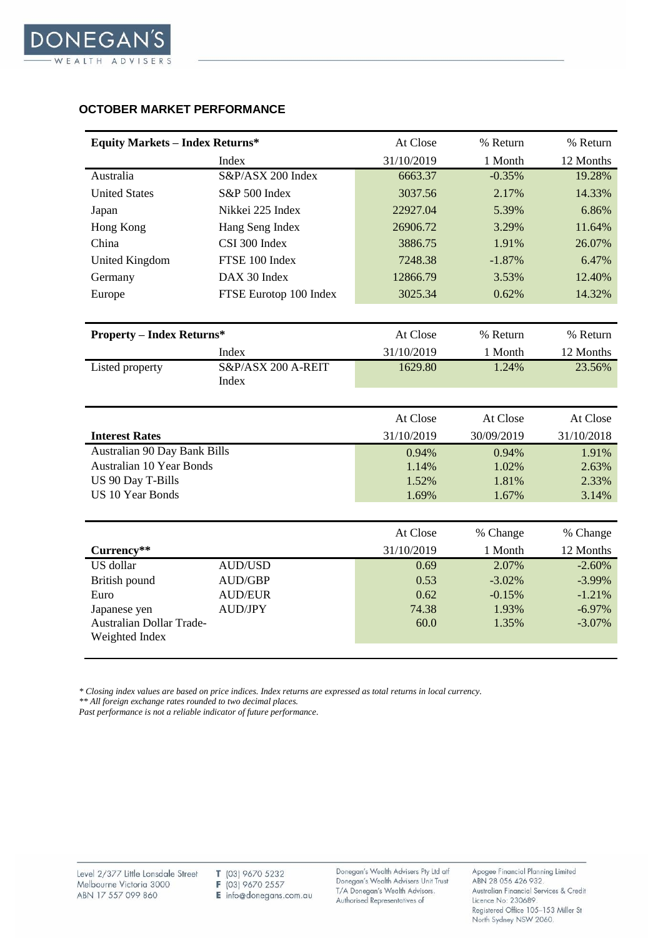

## **OCTOBER MARKET PERFORMANCE**

| <b>Equity Markets - Index Returns*</b> |                        | At Close   | % Return   | % Return   |
|----------------------------------------|------------------------|------------|------------|------------|
|                                        | Index                  | 31/10/2019 | 1 Month    | 12 Months  |
| Australia                              | S&P/ASX 200 Index      | 6663.37    | $-0.35%$   | 19.28%     |
| <b>United States</b>                   | S&P 500 Index          | 3037.56    | 2.17%      | 14.33%     |
| Japan                                  | Nikkei 225 Index       | 22927.04   | 5.39%      | 6.86%      |
| Hong Kong                              | Hang Seng Index        | 26906.72   | 3.29%      | 11.64%     |
| China                                  | CSI 300 Index          | 3886.75    | 1.91%      | 26.07%     |
| <b>United Kingdom</b>                  | FTSE 100 Index         | 7248.38    | $-1.87%$   | 6.47%      |
| Germany                                | DAX 30 Index           | 12866.79   | 3.53%      | 12.40%     |
| Europe                                 | FTSE Eurotop 100 Index | 3025.34    | 0.62%      | 14.32%     |
|                                        |                        |            |            |            |
| <b>Property - Index Returns*</b>       |                        | At Close   | % Return   | % Return   |
|                                        | Index                  | 31/10/2019 | 1 Month    | 12 Months  |
| Listed property                        | S&P/ASX 200 A-REIT     | 1629.80    | 1.24%      | 23.56%     |
|                                        | Index                  |            |            |            |
|                                        |                        |            |            |            |
|                                        |                        | At Close   | At Close   | At Close   |
| <b>Interest Rates</b>                  |                        | 31/10/2019 | 30/09/2019 | 31/10/2018 |
| Australian 90 Day Bank Bills           |                        | 0.94%      | 0.94%      | 1.91%      |
| <b>Australian 10 Year Bonds</b>        |                        | 1.14%      | 1.02%      | 2.63%      |
| US 90 Day T-Bills                      |                        | 1.52%      | 1.81%      | 2.33%      |
| <b>US 10 Year Bonds</b>                |                        | 1.69%      | 1.67%      | 3.14%      |
|                                        |                        |            |            |            |
|                                        |                        | At Close   | % Change   | % Change   |
| Currency**                             |                        | 31/10/2019 | 1 Month    | 12 Months  |
| US dollar                              | <b>AUD/USD</b>         | 0.69       | 2.07%      | $-2.60%$   |
| British pound                          | <b>AUD/GBP</b>         | 0.53       | $-3.02%$   | $-3.99%$   |
| Euro                                   | <b>AUD/EUR</b>         | 0.62       | $-0.15%$   | $-1.21%$   |
| Japanese yen                           | <b>AUD/JPY</b>         | 74.38      | 1.93%      | $-6.97%$   |
| <b>Australian Dollar Trade-</b>        |                        | 60.0       | 1.35%      | $-3.07%$   |
| Weighted Index                         |                        |            |            |            |

*\* Closing index values are based on price indices. Index returns are expressed as total returns in local currency.*

*\*\* All foreign exchange rates rounded to two decimal places.*

*Past performance is not a reliable indicator of future performance.*

T (03) 9670 5232 F (03) 9670 2557  $\mathbf{E}$  info@donegans.com.au Donegan's Wealth Advisers Pty Ltd atf Donegan's Wealth Advisers Unit Trust T/A Donegan's Wealth Advisors. Authorised Representatives of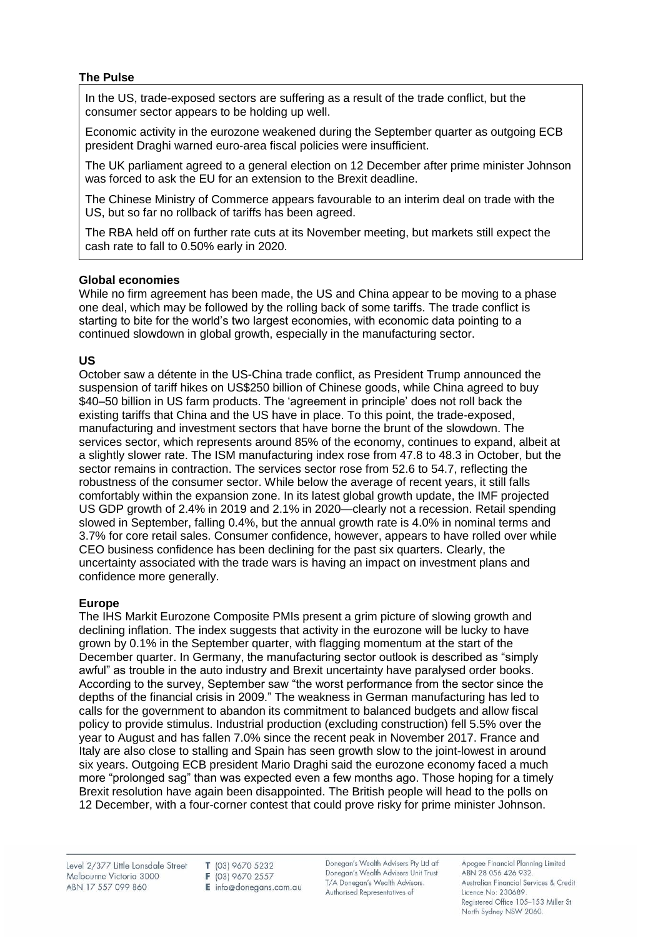### **The Pulse**

In the US, trade-exposed sectors are suffering as a result of the trade conflict, but the consumer sector appears to be holding up well.

Economic activity in the eurozone weakened during the September quarter as outgoing ECB president Draghi warned euro-area fiscal policies were insufficient.

The UK parliament agreed to a general election on 12 December after prime minister Johnson was forced to ask the EU for an extension to the Brexit deadline.

The Chinese Ministry of Commerce appears favourable to an interim deal on trade with the US, but so far no rollback of tariffs has been agreed.

The RBA held off on further rate cuts at its November meeting, but markets still expect the cash rate to fall to 0.50% early in 2020.

## **Global economies**

While no firm agreement has been made, the US and China appear to be moving to a phase one deal, which may be followed by the rolling back of some tariffs. The trade conflict is starting to bite for the world's two largest economies, with economic data pointing to a continued slowdown in global growth, especially in the manufacturing sector.

## **US**

October saw a détente in the US-China trade conflict, as President Trump announced the suspension of tariff hikes on US\$250 billion of Chinese goods, while China agreed to buy \$40–50 billion in US farm products. The 'agreement in principle' does not roll back the existing tariffs that China and the US have in place. To this point, the trade-exposed, manufacturing and investment sectors that have borne the brunt of the slowdown. The services sector, which represents around 85% of the economy, continues to expand, albeit at a slightly slower rate. The ISM manufacturing index rose from 47.8 to 48.3 in October, but the sector remains in contraction. The services sector rose from 52.6 to 54.7, reflecting the robustness of the consumer sector. While below the average of recent years, it still falls comfortably within the expansion zone. In its latest global growth update, the IMF projected US GDP growth of 2.4% in 2019 and 2.1% in 2020—clearly not a recession. Retail spending slowed in September, falling 0.4%, but the annual growth rate is 4.0% in nominal terms and 3.7% for core retail sales. Consumer confidence, however, appears to have rolled over while CEO business confidence has been declining for the past six quarters. Clearly, the uncertainty associated with the trade wars is having an impact on investment plans and confidence more generally.

### **Europe**

The IHS Markit Eurozone Composite PMIs present a grim picture of slowing growth and declining inflation. The index suggests that activity in the eurozone will be lucky to have grown by 0.1% in the September quarter, with flagging momentum at the start of the December quarter. In Germany, the manufacturing sector outlook is described as "simply awful" as trouble in the auto industry and Brexit uncertainty have paralysed order books. According to the survey, September saw "the worst performance from the sector since the depths of the financial crisis in 2009." The weakness in German manufacturing has led to calls for the government to abandon its commitment to balanced budgets and allow fiscal policy to provide stimulus. Industrial production (excluding construction) fell 5.5% over the year to August and has fallen 7.0% since the recent peak in November 2017. France and Italy are also close to stalling and Spain has seen growth slow to the joint-lowest in around six years. Outgoing ECB president Mario Draghi said the eurozone economy faced a much more "prolonged sag" than was expected even a few months ago. Those hoping for a timely Brexit resolution have again been disappointed. The British people will head to the polls on 12 December, with a four-corner contest that could prove risky for prime minister Johnson.

Level 2/377 Little Lonsdale Street Melbourne Victoria 3000 ABN 17 557 099 860

T (03) 9670 5232 F (03) 9670 2557  $E$  info@donegans.com.au Donegan's Wealth Advisers Pty Ltd aff Donegan's Wealth Advisers Unit Trust T/A Donegan's Wealth Advisors. Authorised Representatives of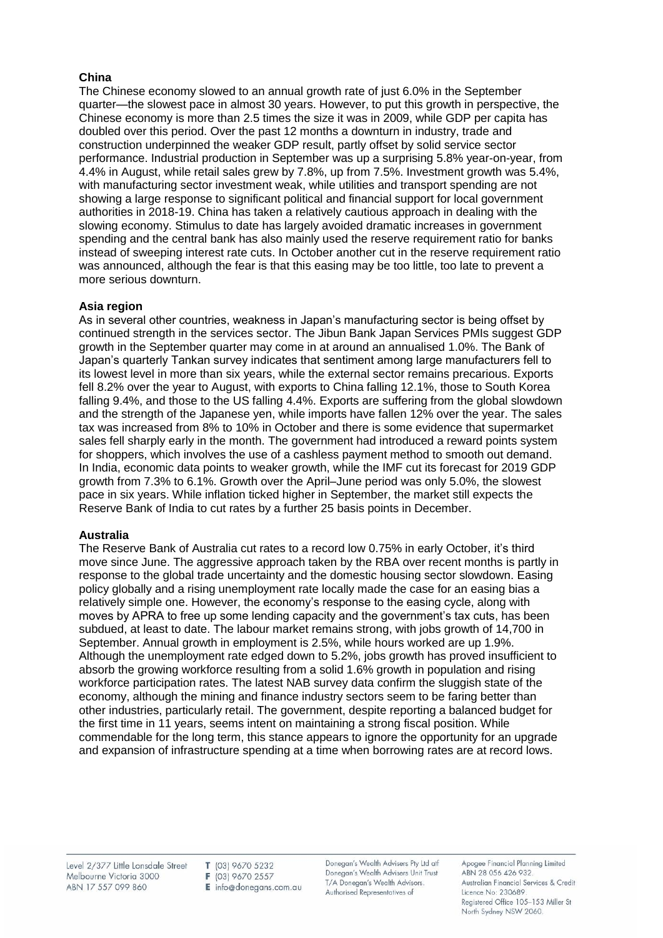## **China**

The Chinese economy slowed to an annual growth rate of just 6.0% in the September quarter—the slowest pace in almost 30 years. However, to put this growth in perspective, the Chinese economy is more than 2.5 times the size it was in 2009, while GDP per capita has doubled over this period. Over the past 12 months a downturn in industry, trade and construction underpinned the weaker GDP result, partly offset by solid service sector performance. Industrial production in September was up a surprising 5.8% year-on-year, from 4.4% in August, while retail sales grew by 7.8%, up from 7.5%. Investment growth was 5.4%, with manufacturing sector investment weak, while utilities and transport spending are not showing a large response to significant political and financial support for local government authorities in 2018-19. China has taken a relatively cautious approach in dealing with the slowing economy. Stimulus to date has largely avoided dramatic increases in government spending and the central bank has also mainly used the reserve requirement ratio for banks instead of sweeping interest rate cuts. In October another cut in the reserve requirement ratio was announced, although the fear is that this easing may be too little, too late to prevent a more serious downturn.

## **Asia region**

As in several other countries, weakness in Japan's manufacturing sector is being offset by continued strength in the services sector. The Jibun Bank Japan Services PMIs suggest GDP growth in the September quarter may come in at around an annualised 1.0%. The Bank of Japan's quarterly Tankan survey indicates that sentiment among large manufacturers fell to its lowest level in more than six years, while the external sector remains precarious. Exports fell 8.2% over the year to August, with exports to China falling 12.1%, those to South Korea falling 9.4%, and those to the US falling 4.4%. Exports are suffering from the global slowdown and the strength of the Japanese yen, while imports have fallen 12% over the year. The sales tax was increased from 8% to 10% in October and there is some evidence that supermarket sales fell sharply early in the month. The government had introduced a reward points system for shoppers, which involves the use of a cashless payment method to smooth out demand. In India, economic data points to weaker growth, while the IMF cut its forecast for 2019 GDP growth from 7.3% to 6.1%. Growth over the April–June period was only 5.0%, the slowest pace in six years. While inflation ticked higher in September, the market still expects the Reserve Bank of India to cut rates by a further 25 basis points in December.

### **Australia**

The Reserve Bank of Australia cut rates to a record low 0.75% in early October, it's third move since June. The aggressive approach taken by the RBA over recent months is partly in response to the global trade uncertainty and the domestic housing sector slowdown. Easing policy globally and a rising unemployment rate locally made the case for an easing bias a relatively simple one. However, the economy's response to the easing cycle, along with moves by APRA to free up some lending capacity and the government's tax cuts, has been subdued, at least to date. The labour market remains strong, with jobs growth of 14,700 in September. Annual growth in employment is 2.5%, while hours worked are up 1.9%. Although the unemployment rate edged down to 5.2%, jobs growth has proved insufficient to absorb the growing workforce resulting from a solid 1.6% growth in population and rising workforce participation rates. The latest NAB survey data confirm the sluggish state of the economy, although the mining and finance industry sectors seem to be faring better than other industries, particularly retail. The government, despite reporting a balanced budget for the first time in 11 years, seems intent on maintaining a strong fiscal position. While commendable for the long term, this stance appears to ignore the opportunity for an upgrade and expansion of infrastructure spending at a time when borrowing rates are at record lows.

Level 2/377 Little Lonsdale Street Melbourne Victoria 3000 ABN 17 557 099 860

T (03) 9670 5232 F (03) 9670 2557 E info@donegans.com.au Donegan's Wealth Advisers Pty Ltd atf Donegan's Wealth Advisers Unit Trust T/A Donegan's Wealth Advisors. Authorised Representatives of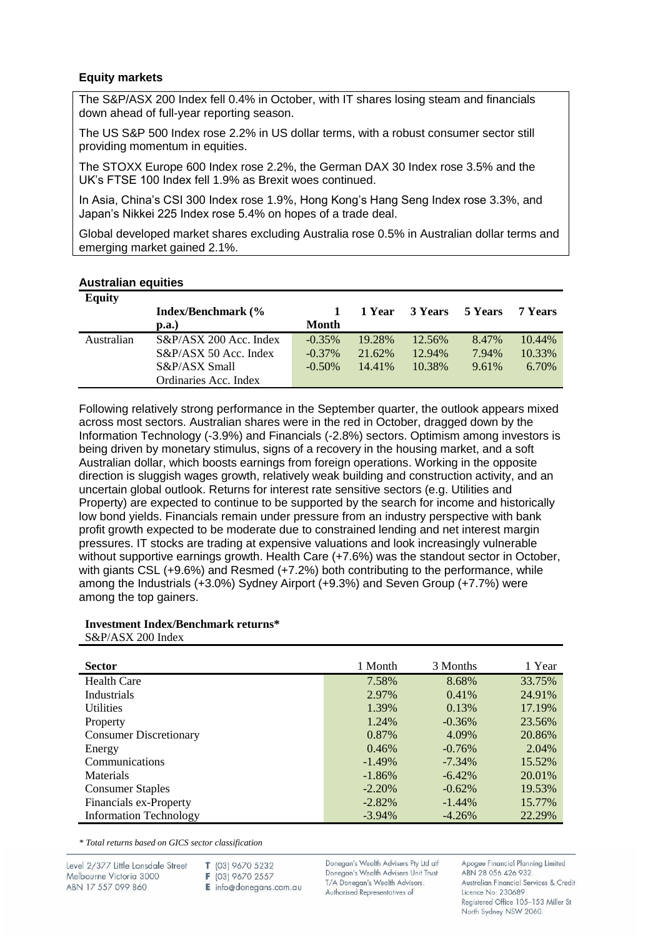#### **Equity markets**

The S&P/ASX 200 Index fell 0.4% in October, with IT shares losing steam and financials down ahead of full-year reporting season.

The US S&P 500 Index rose 2.2% in US dollar terms, with a robust consumer sector still providing momentum in equities.

The STOXX Europe 600 Index rose 2.2%, the German DAX 30 Index rose 3.5% and the UK's FTSE 100 Index fell 1.9% as Brexit woes continued.

In Asia, China's CSI 300 Index rose 1.9%, Hong Kong's Hang Seng Index rose 3.3%, and Japan's Nikkei 225 Index rose 5.4% on hopes of a trade deal.

Global developed market shares excluding Australia rose 0.5% in Australian dollar terms and emerging market gained 2.1%.

#### **Australian equities**

| <b>Equity</b> |                            |              |        |         |         |         |
|---------------|----------------------------|--------------|--------|---------|---------|---------|
|               | <b>Index/Benchmark</b> (%  |              | 1 Year | 3 Years | 5 Years | 7 Years |
|               | $\mathbf{p}.\mathbf{a}$ .) | <b>Month</b> |        |         |         |         |
| Australian    | $S\&P/ASX$ 200 Acc. Index  | $-0.35\%$    | 19.28% | 12.56%  | 8.47%   | 10.44%  |
|               | S&P/ASX 50 Acc. Index      | $-0.37\%$    | 21.62% | 12.94%  | 7.94%   | 10.33%  |
|               | S&P/ASX Small              | $-0.50\%$    | 14.41% | 10.38%  | 9.61%   | 6.70%   |
|               | Ordinaries Acc. Index      |              |        |         |         |         |

Following relatively strong performance in the September quarter, the outlook appears mixed across most sectors. Australian shares were in the red in October, dragged down by the Information Technology (-3.9%) and Financials (-2.8%) sectors. Optimism among investors is being driven by monetary stimulus, signs of a recovery in the housing market, and a soft Australian dollar, which boosts earnings from foreign operations. Working in the opposite direction is sluggish wages growth, relatively weak building and construction activity, and an uncertain global outlook. Returns for interest rate sensitive sectors (e.g. Utilities and Property) are expected to continue to be supported by the search for income and historically low bond yields. Financials remain under pressure from an industry perspective with bank profit growth expected to be moderate due to constrained lending and net interest margin pressures. IT stocks are trading at expensive valuations and look increasingly vulnerable without supportive earnings growth. Health Care (+7.6%) was the standout sector in October, with giants CSL (+9.6%) and Resmed (+7.2%) both contributing to the performance, while among the Industrials (+3.0%) Sydney Airport (+9.3%) and Seven Group (+7.7%) were among the top gainers.

# **Investment Index/Benchmark returns\***

S&P/ASX 200 Index

| <b>Sector</b>                 | 1 Month   | 3 Months  | 1 Year |
|-------------------------------|-----------|-----------|--------|
| <b>Health Care</b>            | 7.58%     | 8.68%     | 33.75% |
| Industrials                   | 2.97%     | $0.41\%$  | 24.91% |
| <b>Utilities</b>              | 1.39%     | 0.13%     | 17.19% |
| Property                      | 1.24%     | $-0.36\%$ | 23.56% |
| <b>Consumer Discretionary</b> | 0.87%     | 4.09%     | 20.86% |
| Energy                        | 0.46%     | $-0.76%$  | 2.04%  |
| Communications                | $-1.49\%$ | $-7.34\%$ | 15.52% |
| Materials                     | $-1.86%$  | $-6.42\%$ | 20.01% |
| <b>Consumer Staples</b>       | $-2.20%$  | $-0.62%$  | 19.53% |
| Financials ex-Property        | $-2.82\%$ | $-1.44\%$ | 15.77% |
| <b>Information Technology</b> | $-3.94\%$ | $-4.26\%$ | 22.29% |

*\* Total returns based on GICS sector classification*

Level 2/377 Little Lonsdale Street Melbourne Victoria 3000 ABN 17 557 099 860

T (03) 9670 5232 F (03) 9670 2557

E info@donegans.com.au

Donegan's Wealth Advisers Pty Ltd atf Donegan's Wealth Advisers Unit Trust T/A Donegan's Wealth Advisors. Authorised Representatives of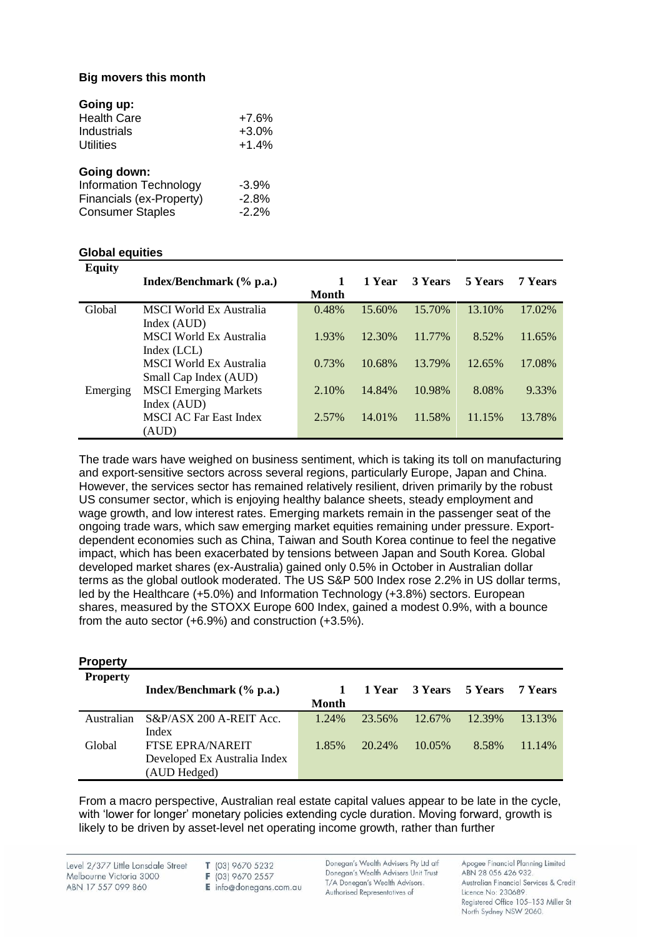### **Big movers this month**

| Going up:                     |         |
|-------------------------------|---------|
| <b>Health Care</b>            | $+7.6%$ |
| Industrials                   | $+3.0%$ |
| <b>Utilities</b>              | $+1.4%$ |
|                               |         |
| Going down:                   |         |
| <b>Information Technology</b> | $-3.9%$ |
| Financials (ex-Property)      | $-2.8%$ |
| <b>Consumer Staples</b>       | $-2.2%$ |

## **Global equities**

| <b>Equity</b> | Index/Benchmark (% p.a.)       | Month | 1 Year | <b>3 Years</b> | 5 Years | 7 Years |
|---------------|--------------------------------|-------|--------|----------------|---------|---------|
| Global        | MSCI World Ex Australia        | 0.48% | 15.60% | 15.70%         | 13.10%  | 17.02%  |
|               | Index (AUD)                    |       |        |                |         |         |
|               | <b>MSCI</b> World Ex Australia | 1.93% | 12.30% | 11.77%         | 8.52%   | 11.65%  |
|               | Index (LCL)                    |       |        |                |         |         |
|               | <b>MSCI</b> World Ex Australia | 0.73% | 10.68% | 13.79%         | 12.65%  | 17.08%  |
|               | Small Cap Index (AUD)          |       |        |                |         |         |
| Emerging      | <b>MSCI</b> Emerging Markets   | 2.10% | 14.84% | 10.98%         | 8.08%   | 9.33%   |
|               | Index (AUD)                    |       |        |                |         |         |
|               | <b>MSCI AC Far East Index</b>  | 2.57% | 14.01% | 11.58%         | 11.15%  | 13.78%  |
|               | (AUD)                          |       |        |                |         |         |

The trade wars have weighed on business sentiment, which is taking its toll on manufacturing and export-sensitive sectors across several regions, particularly Europe, Japan and China. However, the services sector has remained relatively resilient, driven primarily by the robust US consumer sector, which is enjoying healthy balance sheets, steady employment and wage growth, and low interest rates. Emerging markets remain in the passenger seat of the ongoing trade wars, which saw emerging market equities remaining under pressure. Exportdependent economies such as China, Taiwan and South Korea continue to feel the negative impact, which has been exacerbated by tensions between Japan and South Korea. Global developed market shares (ex-Australia) gained only 0.5% in October in Australian dollar terms as the global outlook moderated. The US S&P 500 Index rose 2.2% in US dollar terms, led by the Healthcare (+5.0%) and Information Technology (+3.8%) sectors. European shares, measured by the STOXX Europe 600 Index, gained a modest 0.9%, with a bounce from the auto sector (+6.9%) and construction (+3.5%).

| <b>Property</b> |                              |              |        |         |         |         |
|-----------------|------------------------------|--------------|--------|---------|---------|---------|
| <b>Property</b> |                              |              |        |         |         |         |
|                 | Index/Benchmark (% p.a.)     | 1            | 1 Year | 3 Years | 5 Years | 7 Years |
|                 |                              | <b>Month</b> |        |         |         |         |
| Australian      | S&P/ASX 200 A-REIT Acc.      | 1.24%        | 23.56% | 12.67%  | 12.39%  | 13.13%  |
|                 | Index                        |              |        |         |         |         |
| Global          | <b>FTSE EPRA/NAREIT</b>      | 1.85%        | 20.24% | 10.05%  | 8.58%   | 11.14%  |
|                 | Developed Ex Australia Index |              |        |         |         |         |
|                 | (AUD Hedged)                 |              |        |         |         |         |

From a macro perspective, Australian real estate capital values appear to be late in the cycle, with 'lower for longer' monetary policies extending cycle duration. Moving forward, growth is likely to be driven by asset-level net operating income growth, rather than further

Level 2/377 Little Lonsdale Street Melbourne Victoria 3000 ABN 17 557 099 860

T (03) 9670 5232 F (03) 9670 2557

E info@donegans.com.au

Donegan's Wealth Advisers Pty Ltd atf Donegan's Wealth Advisers Unit Trust T/A Donegan's Wealth Advisors. Authorised Representatives of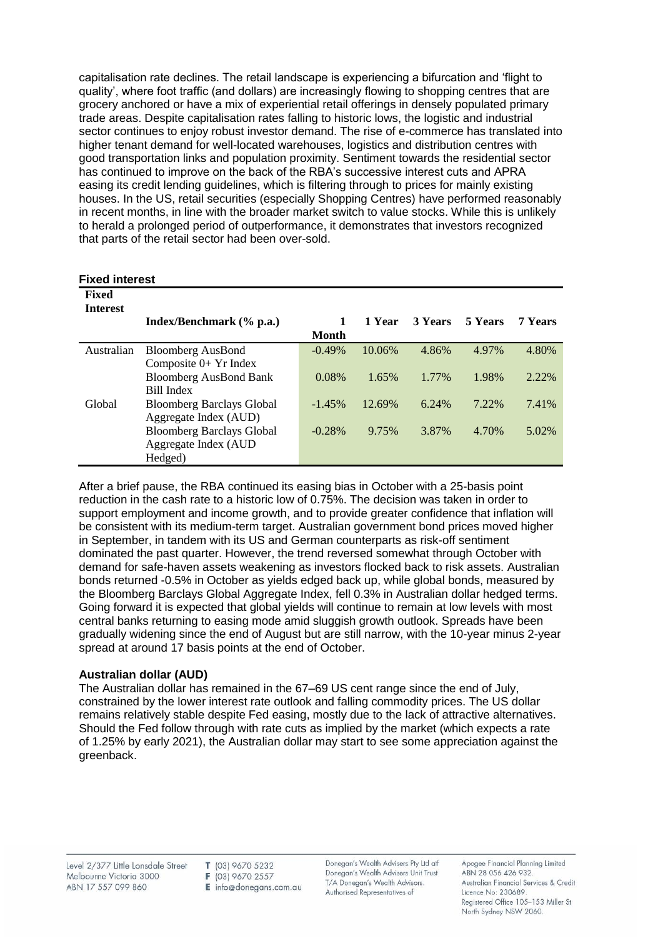capitalisation rate declines. The retail landscape is experiencing a bifurcation and 'flight to quality', where foot traffic (and dollars) are increasingly flowing to shopping centres that are grocery anchored or have a mix of experiential retail offerings in densely populated primary trade areas. Despite capitalisation rates falling to historic lows, the logistic and industrial sector continues to enjoy robust investor demand. The rise of e-commerce has translated into higher tenant demand for well-located warehouses, logistics and distribution centres with good transportation links and population proximity. Sentiment towards the residential sector has continued to improve on the back of the RBA's successive interest cuts and APRA easing its credit lending guidelines, which is filtering through to prices for mainly existing houses. In the US, retail securities (especially Shopping Centres) have performed reasonably in recent months, in line with the broader market switch to value stocks. While this is unlikely to herald a prolonged period of outperformance, it demonstrates that investors recognized that parts of the retail sector had been over-sold.

|  | <b>Fixed interest</b> |
|--|-----------------------|
|--|-----------------------|

| Fixed<br><b>Interest</b> |                                  |              |        |                |         |                |
|--------------------------|----------------------------------|--------------|--------|----------------|---------|----------------|
|                          | Index/Benchmark (% p.a.)         |              | 1 Year | <b>3 Years</b> | 5 Years | <b>7 Years</b> |
|                          |                                  | <b>Month</b> |        |                |         |                |
| Australian               | <b>Bloomberg AusBond</b>         | $-0.49\%$    | 10.06% | 4.86%          | 4.97%   | 4.80%          |
|                          | Composite $0+$ Yr Index          |              |        |                |         |                |
|                          | <b>Bloomberg AusBond Bank</b>    | 0.08%        | 1.65%  | 1.77%          | 1.98%   | 2.22%          |
|                          | Bill Index                       |              |        |                |         |                |
| Global                   | <b>Bloomberg Barclays Global</b> | $-1.45%$     | 12.69% | 6.24%          | 7.22%   | 7.41%          |
|                          | Aggregate Index (AUD)            |              |        |                |         |                |
|                          | <b>Bloomberg Barclays Global</b> | $-0.28%$     | 9.75%  | 3.87%          | 4.70%   | 5.02%          |
|                          | Aggregate Index (AUD             |              |        |                |         |                |
|                          | Hedged)                          |              |        |                |         |                |

After a brief pause, the RBA continued its easing bias in October with a 25-basis point reduction in the cash rate to a historic low of 0.75%. The decision was taken in order to support employment and income growth, and to provide greater confidence that inflation will be consistent with its medium-term target. Australian government bond prices moved higher in September, in tandem with its US and German counterparts as risk-off sentiment dominated the past quarter. However, the trend reversed somewhat through October with demand for safe-haven assets weakening as investors flocked back to risk assets. Australian bonds returned -0.5% in October as yields edged back up, while global bonds, measured by the Bloomberg Barclays Global Aggregate Index, fell 0.3% in Australian dollar hedged terms. Going forward it is expected that global yields will continue to remain at low levels with most central banks returning to easing mode amid sluggish growth outlook. Spreads have been gradually widening since the end of August but are still narrow, with the 10-year minus 2-year spread at around 17 basis points at the end of October.

### **Australian dollar (AUD)**

The Australian dollar has remained in the 67–69 US cent range since the end of July, constrained by the lower interest rate outlook and falling commodity prices. The US dollar remains relatively stable despite Fed easing, mostly due to the lack of attractive alternatives. Should the Fed follow through with rate cuts as implied by the market (which expects a rate of 1.25% by early 2021), the Australian dollar may start to see some appreciation against the greenback.

Level 2/377 Little Lonsdale Street Melbourne Victoria 3000 ABN 17 557 099 860

T (03) 9670 5232 F (03) 9670 2557  $E$  info@donegans.com.au Donegan's Wealth Advisers Pty Ltd atf Donegan's Wealth Advisers Unit Trust T/A Donegan's Wealth Advisors. Authorised Representatives of